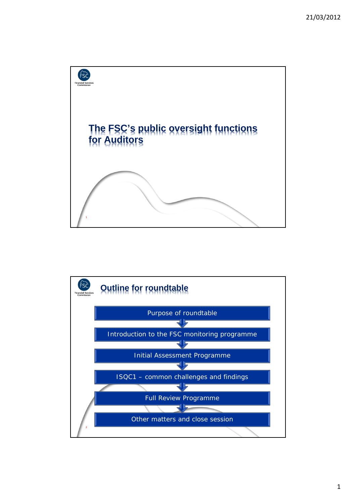

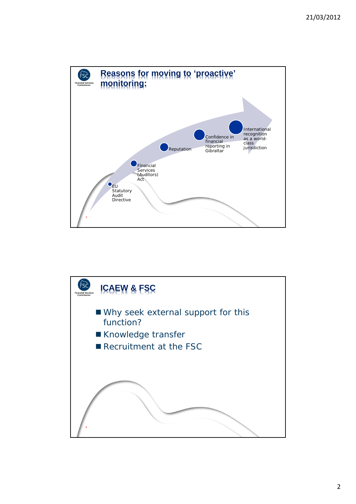

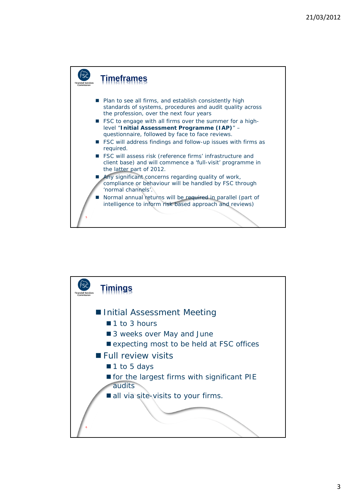

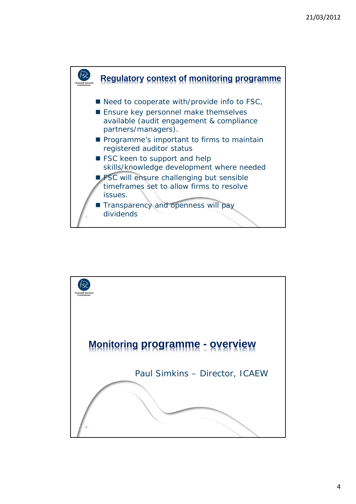

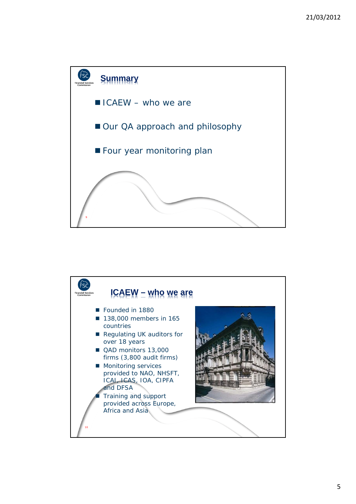

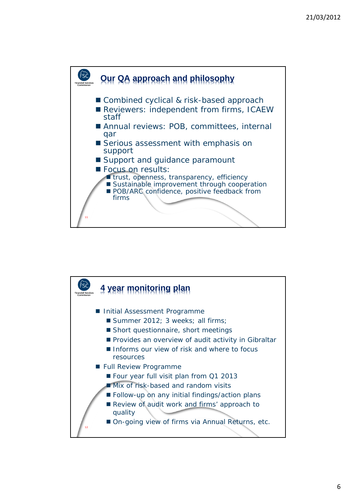

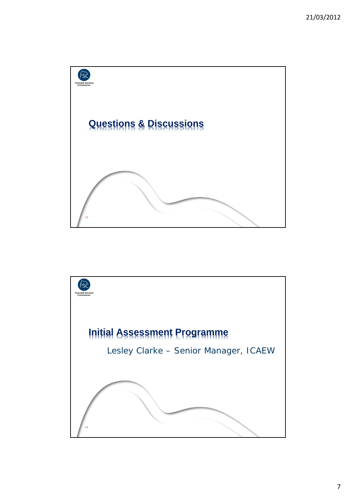

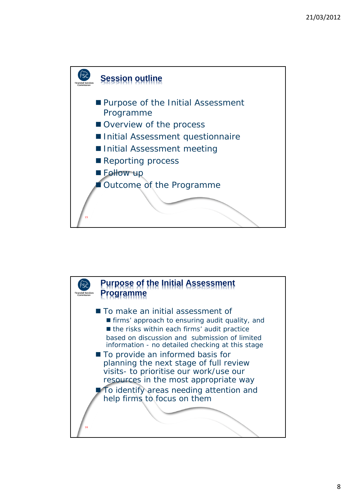

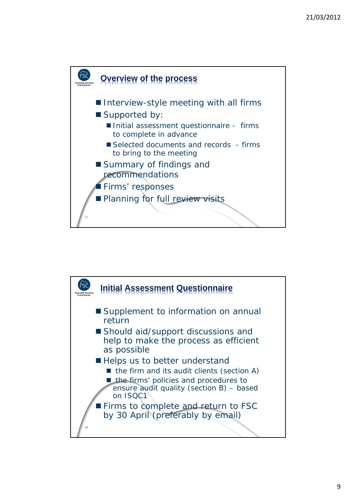

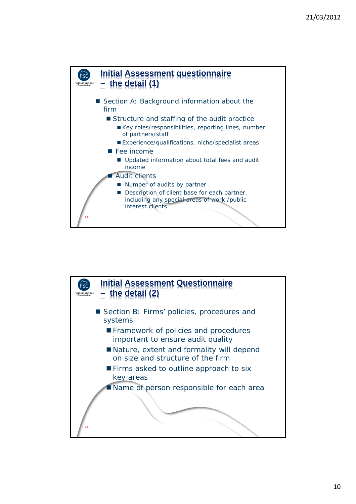

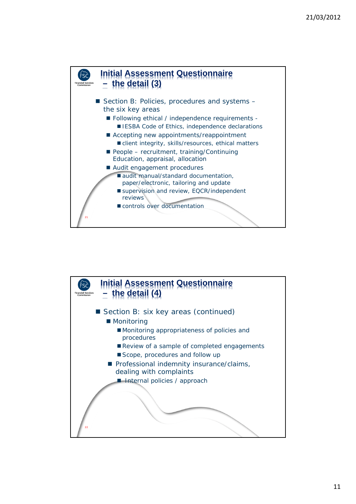

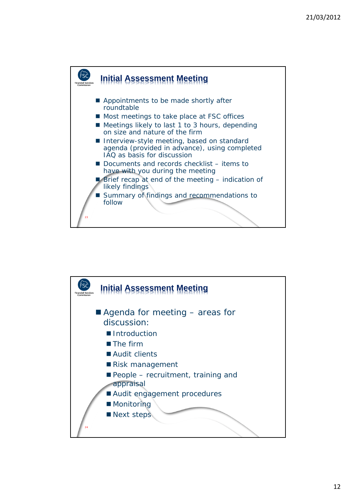

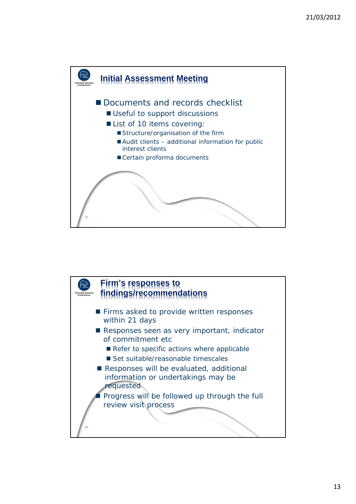

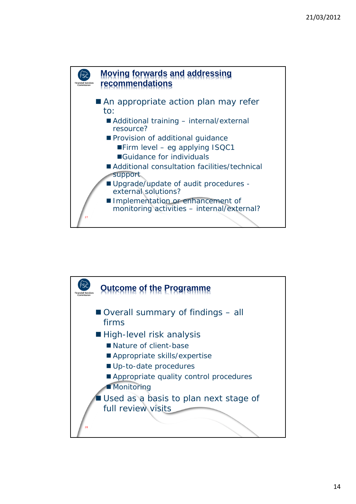

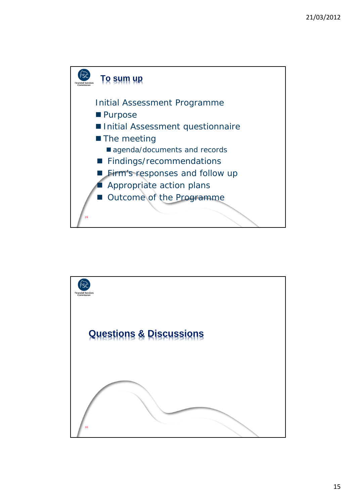

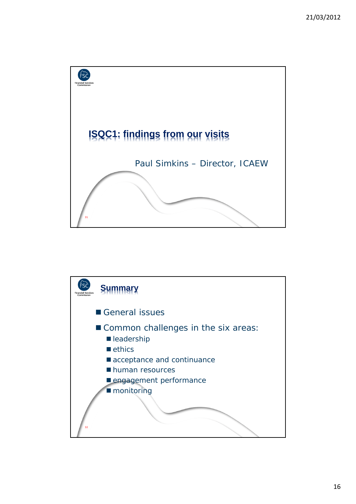

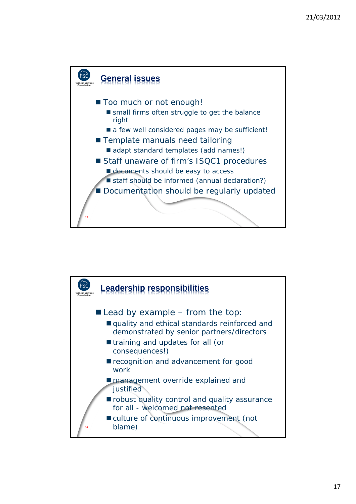

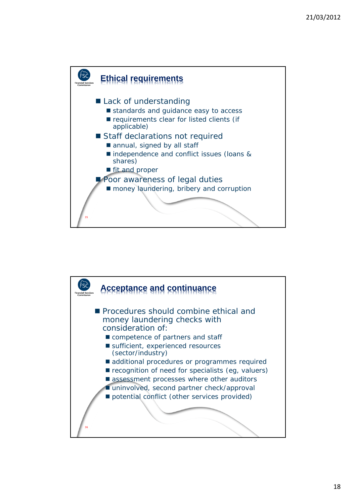

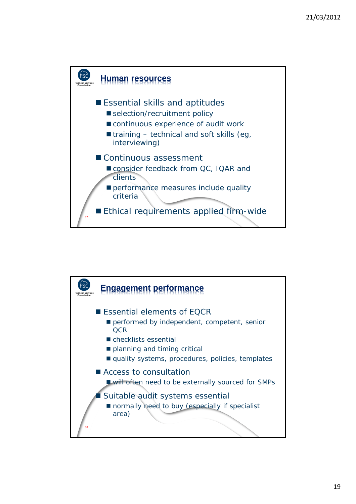

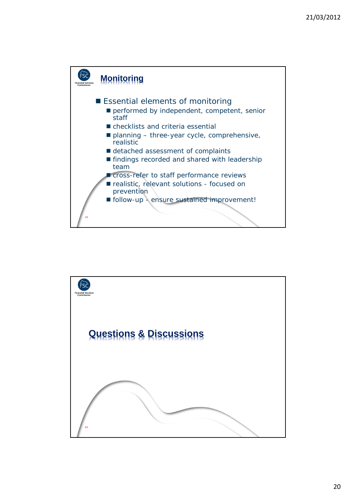

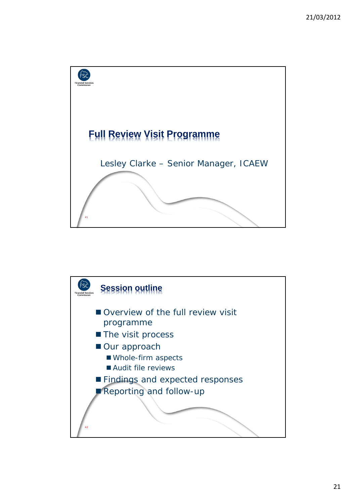

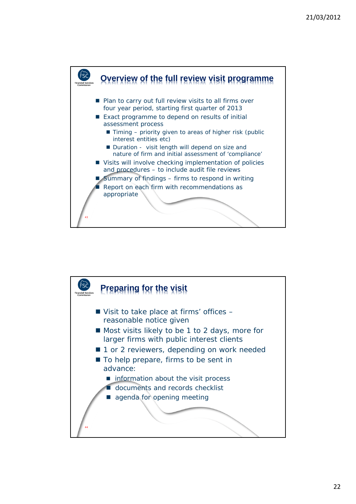

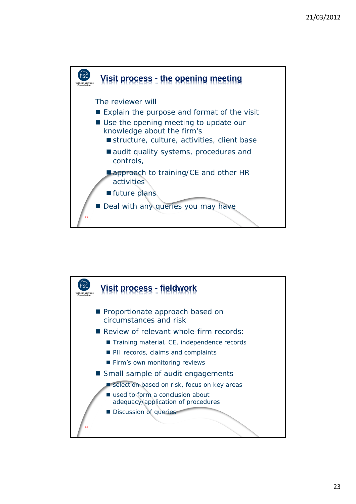

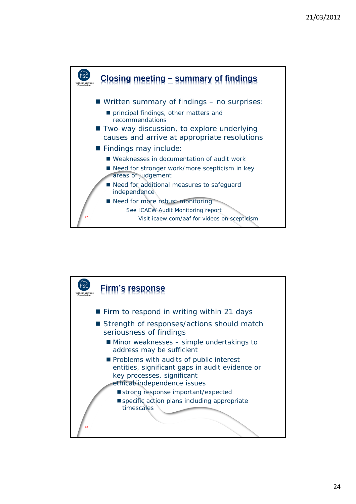

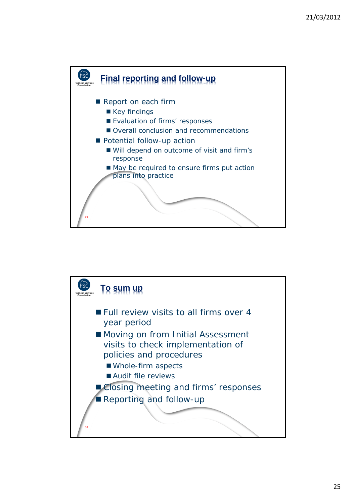

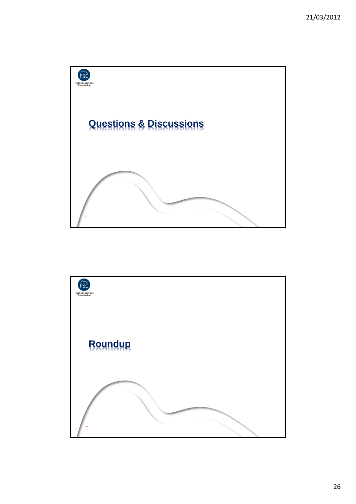

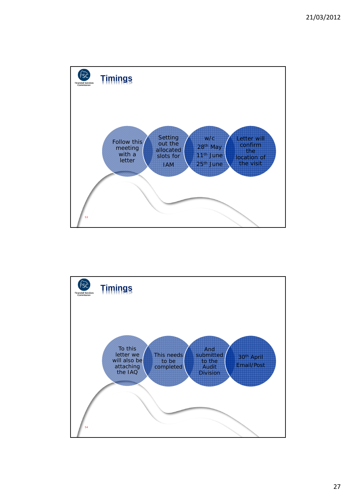

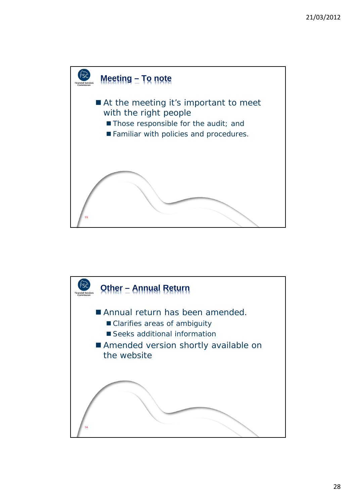

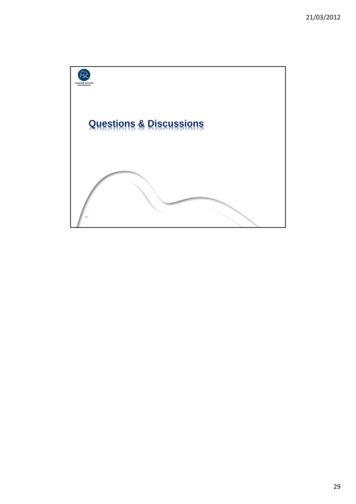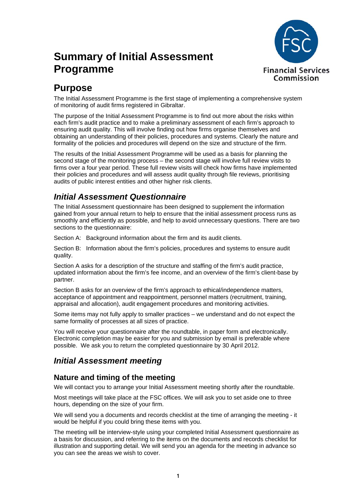# **Summary of Initial Assessment Programme**



# **Purpose**

The Initial Assessment Programme is the first stage of implementing a comprehensive system of monitoring of audit firms registered in Gibraltar.

The purpose of the Initial Assessment Programme is to find out more about the risks within each firm's audit practice and to make a preliminary assessment of each firm's approach to ensuring audit quality. This will involve finding out how firms organise themselves and obtaining an understanding of their policies, procedures and systems. Clearly the nature and formality of the policies and procedures will depend on the size and structure of the firm.

The results of the Initial Assessment Programme will be used as a basis for planning the second stage of the monitoring process – the second stage will involve full review visits to firms over a four year period. These full review visits will check how firms have implemented their policies and procedures and will assess audit quality through file reviews, prioritising audits of public interest entities and other higher risk clients.

# *Initial Assessment Questionnaire*

The Initial Assessment questionnaire has been designed to supplement the information gained from your annual return to help to ensure that the initial assessment process runs as smoothly and efficiently as possible, and help to avoid unnecessary questions. There are two sections to the questionnaire:

Section A: Background information about the firm and its audit clients.

Section B: Information about the firm's policies, procedures and systems to ensure audit quality.

Section A asks for a description of the structure and staffing of the firm's audit practice, updated information about the firm's fee income, and an overview of the firm's client-base by partner.

Section B asks for an overview of the firm's approach to ethical/independence matters, acceptance of appointment and reappointment, personnel matters (recruitment, training, appraisal and allocation), audit engagement procedures and monitoring activities.

Some items may not fully apply to smaller practices – we understand and do not expect the same formality of processes at all sizes of practice.

You will receive your questionnaire after the roundtable, in paper form and electronically. Electronic completion may be easier for you and submission by email is preferable where possible. We ask you to return the completed questionnaire by 30 April 2012.

# *Initial Assessment meeting*

## **Nature and timing of the meeting**

We will contact you to arrange your Initial Assessment meeting shortly after the roundtable.

Most meetings will take place at the FSC offices. We will ask you to set aside one to three hours, depending on the size of your firm.

We will send you a documents and records checklist at the time of arranging the meeting - it would be helpful if you could bring these items with you.

The meeting will be interview-style using your completed Initial Assessment questionnaire as a basis for discussion, and referring to the items on the documents and records checklist for illustration and supporting detail. We will send you an agenda for the meeting in advance so you can see the areas we wish to cover.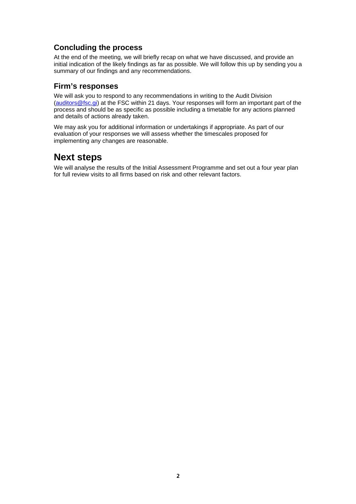# **Concluding the process**

At the end of the meeting, we will briefly recap on what we have discussed, and provide an initial indication of the likely findings as far as possible. We will follow this up by sending you a summary of our findings and any recommendations.

#### **Firm's responses**

We will ask you to respond to any recommendations in writing to the Audit Division (auditors@fsc.gi) at the FSC within 21 days. Your responses will form an important part of the process and should be as specific as possible including a timetable for any actions planned and details of actions already taken.

We may ask you for additional information or undertakings if appropriate. As part of our evaluation of your responses we will assess whether the timescales proposed for implementing any changes are reasonable.

# **Next steps**

We will analyse the results of the Initial Assessment Programme and set out a four year plan for full review visits to all firms based on risk and other relevant factors.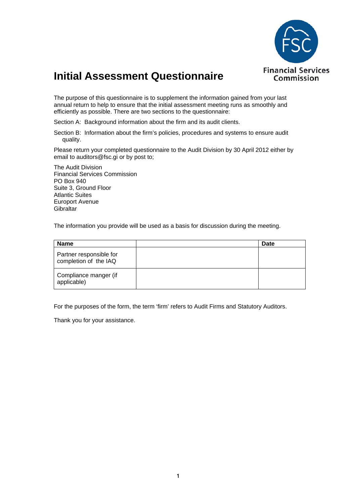

# **Initial Assessment Questionnaire**

The purpose of this questionnaire is to supplement the information gained from your last annual return to help to ensure that the initial assessment meeting runs as smoothly and efficiently as possible. There are two sections to the questionnaire:

Section A: Background information about the firm and its audit clients.

Section B: Information about the firm's policies, procedures and systems to ensure audit quality.

Please return your completed questionnaire to the Audit Division by 30 April 2012 either by email to auditors@fsc.gi or by post to;

The Audit Division Financial Services Commission PO Box 940 Suite 3, Ground Floor Atlantic Suites Europort Avenue **Gibraltar** 

The information you provide will be used as a basis for discussion during the meeting.

| <b>Name</b>                                      | Date |
|--------------------------------------------------|------|
| Partner responsible for<br>completion of the IAQ |      |
| Compliance manger (if<br>applicable)             |      |

For the purposes of the form, the term 'firm' refers to Audit Firms and Statutory Auditors.

Thank you for your assistance.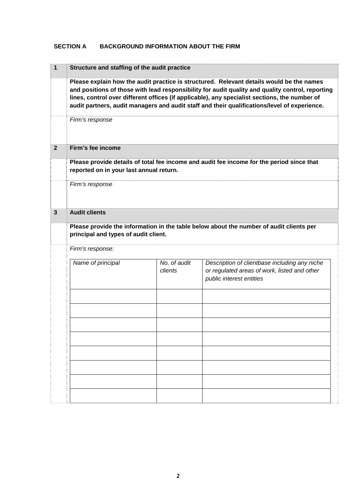#### **SECTION A BACKGROUND INFORMATION ABOUT THE FIRM**

| $\mathbf{1}$   | Structure and staffing of the audit practice                                                                                                                                                                                                                                                                                                                                                  |                         |                                                                                                                           |  |  |  |  |
|----------------|-----------------------------------------------------------------------------------------------------------------------------------------------------------------------------------------------------------------------------------------------------------------------------------------------------------------------------------------------------------------------------------------------|-------------------------|---------------------------------------------------------------------------------------------------------------------------|--|--|--|--|
|                | Please explain how the audit practice is structured. Relevant details would be the names<br>and positions of those with lead responsibility for audit quality and quality control, reporting<br>lines, control over different offices (if applicable), any specialist sections, the number of<br>audit partners, audit managers and audit staff and their qualifications/level of experience. |                         |                                                                                                                           |  |  |  |  |
|                | Firm's response                                                                                                                                                                                                                                                                                                                                                                               |                         |                                                                                                                           |  |  |  |  |
| $\overline{2}$ | Firm's fee income                                                                                                                                                                                                                                                                                                                                                                             |                         |                                                                                                                           |  |  |  |  |
|                | Please provide details of total fee income and audit fee income for the period since that<br>reported on in your last annual return.                                                                                                                                                                                                                                                          |                         |                                                                                                                           |  |  |  |  |
|                | Firm's response                                                                                                                                                                                                                                                                                                                                                                               |                         |                                                                                                                           |  |  |  |  |
| $\mathbf{3}$   | <b>Audit clients</b>                                                                                                                                                                                                                                                                                                                                                                          |                         |                                                                                                                           |  |  |  |  |
|                | Please provide the information in the table below about the number of audit clients per<br>principal and types of audit client.<br>Firm's response:                                                                                                                                                                                                                                           |                         |                                                                                                                           |  |  |  |  |
|                |                                                                                                                                                                                                                                                                                                                                                                                               |                         |                                                                                                                           |  |  |  |  |
|                | Name of principal                                                                                                                                                                                                                                                                                                                                                                             | No. of audit<br>clients | Description of clientbase including any niche<br>or regulated areas of work, listed and other<br>public interest entities |  |  |  |  |
|                |                                                                                                                                                                                                                                                                                                                                                                                               |                         |                                                                                                                           |  |  |  |  |
|                |                                                                                                                                                                                                                                                                                                                                                                                               |                         |                                                                                                                           |  |  |  |  |
|                |                                                                                                                                                                                                                                                                                                                                                                                               |                         |                                                                                                                           |  |  |  |  |
|                |                                                                                                                                                                                                                                                                                                                                                                                               |                         |                                                                                                                           |  |  |  |  |
|                |                                                                                                                                                                                                                                                                                                                                                                                               |                         |                                                                                                                           |  |  |  |  |
|                |                                                                                                                                                                                                                                                                                                                                                                                               |                         |                                                                                                                           |  |  |  |  |
|                |                                                                                                                                                                                                                                                                                                                                                                                               |                         |                                                                                                                           |  |  |  |  |
|                |                                                                                                                                                                                                                                                                                                                                                                                               |                         |                                                                                                                           |  |  |  |  |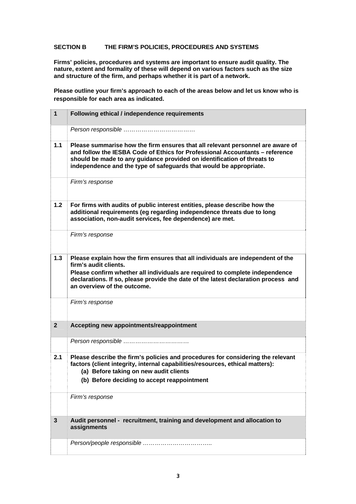#### **SECTION B THE FIRM'S POLICIES, PROCEDURES AND SYSTEMS**

**Firms' policies, procedures and systems are important to ensure audit quality. The nature, extent and formality of these will depend on various factors such as the size and structure of the firm, and perhaps whether it is part of a network.** 

**Please outline your firm's approach to each of the areas below and let us know who is responsible for each area as indicated.** 

| $\mathbf{1}$   | Following ethical / independence requirements                                                                                                                                                                                                                                                                   |
|----------------|-----------------------------------------------------------------------------------------------------------------------------------------------------------------------------------------------------------------------------------------------------------------------------------------------------------------|
|                |                                                                                                                                                                                                                                                                                                                 |
| $1.1$          | Please summarise how the firm ensures that all relevant personnel are aware of<br>and follow the IESBA Code of Ethics for Professional Accountants - reference<br>should be made to any guidance provided on identification of threats to<br>independence and the type of safeguards that would be appropriate. |
|                | Firm's response                                                                                                                                                                                                                                                                                                 |
| 1.2            | For firms with audits of public interest entities, please describe how the<br>additional requirements (eg regarding independence threats due to long<br>association, non-audit services, fee dependence) are met.                                                                                               |
|                | Firm's response                                                                                                                                                                                                                                                                                                 |
| 1.3            | Please explain how the firm ensures that all individuals are independent of the<br>firm's audit clients.<br>Please confirm whether all individuals are required to complete independence<br>declarations. If so, please provide the date of the latest declaration process and<br>an overview of the outcome.   |
|                | Firm's response                                                                                                                                                                                                                                                                                                 |
| $\overline{2}$ | Accepting new appointments/reappointment                                                                                                                                                                                                                                                                        |
|                | Person responsible                                                                                                                                                                                                                                                                                              |
| 2.1            | Please describe the firm's policies and procedures for considering the relevant<br>factors (client integrity, internal capabilities/resources, ethical matters):<br>(a) Before taking on new audit clients<br>(b) Before deciding to accept reappointment                                                       |
|                | Firm's response                                                                                                                                                                                                                                                                                                 |
| 3              | Audit personnel - recruitment, training and development and allocation to<br>assignments                                                                                                                                                                                                                        |
|                |                                                                                                                                                                                                                                                                                                                 |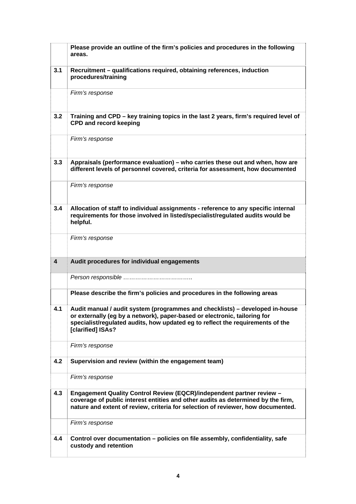|                         | Please provide an outline of the firm's policies and procedures in the following<br>areas.                                                                                                                                                                       |
|-------------------------|------------------------------------------------------------------------------------------------------------------------------------------------------------------------------------------------------------------------------------------------------------------|
| 3.1                     | Recruitment - qualifications required, obtaining references, induction<br>procedures/training                                                                                                                                                                    |
|                         | Firm's response                                                                                                                                                                                                                                                  |
| 3.2                     | Training and CPD - key training topics in the last 2 years, firm's required level of<br><b>CPD and record keeping</b>                                                                                                                                            |
|                         | Firm's response                                                                                                                                                                                                                                                  |
| 3.3                     | Appraisals (performance evaluation) – who carries these out and when, how are<br>different levels of personnel covered, criteria for assessment, how documented                                                                                                  |
|                         | Firm's response                                                                                                                                                                                                                                                  |
| 3.4                     | Allocation of staff to individual assignments - reference to any specific internal<br>requirements for those involved in listed/specialist/regulated audits would be<br>helpful.                                                                                 |
|                         | Firm's response                                                                                                                                                                                                                                                  |
| $\overline{\mathbf{4}}$ | Audit procedures for individual engagements                                                                                                                                                                                                                      |
|                         |                                                                                                                                                                                                                                                                  |
|                         | Please describe the firm's policies and procedures in the following areas                                                                                                                                                                                        |
| 4.1                     | Audit manual / audit system (programmes and checklists) - developed in-house<br>or externally (eg by a network), paper-based or electronic, tailoring for<br>specialist/regulated audits, how updated eg to reflect the requirements of the<br>[clarified] ISAs? |
|                         | Firm's response                                                                                                                                                                                                                                                  |
| 4.2                     | Supervision and review (within the engagement team)                                                                                                                                                                                                              |
|                         | Firm's response                                                                                                                                                                                                                                                  |
| 4.3                     | <b>Engagement Quality Control Review (EQCR)/independent partner review -</b><br>coverage of public interest entities and other audits as determined by the firm,<br>nature and extent of review, criteria for selection of reviewer, how documented.             |
|                         | Firm's response                                                                                                                                                                                                                                                  |
| 4.4                     | Control over documentation - policies on file assembly, confidentiality, safe<br>custody and retention                                                                                                                                                           |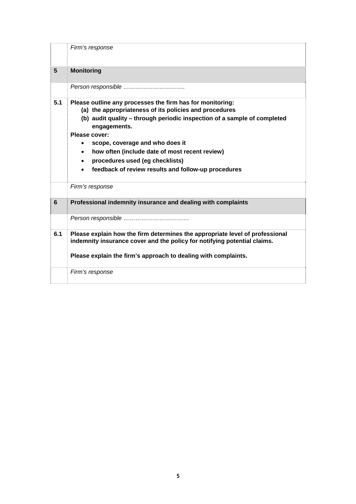|     | Firm's response                                                                                                                                                                                                                                                                                                                                                                                                                           |
|-----|-------------------------------------------------------------------------------------------------------------------------------------------------------------------------------------------------------------------------------------------------------------------------------------------------------------------------------------------------------------------------------------------------------------------------------------------|
| 5   | <b>Monitoring</b>                                                                                                                                                                                                                                                                                                                                                                                                                         |
|     | Person responsible                                                                                                                                                                                                                                                                                                                                                                                                                        |
| 5.1 | Please outline any processes the firm has for monitoring:<br>(a) the appropriateness of its policies and procedures<br>(b) audit quality – through periodic inspection of a sample of completed<br>engagements.<br>Please cover:<br>scope, coverage and who does it<br>how often (include date of most recent review)<br>$\bullet$<br>procedures used (eg checklists)<br>$\bullet$<br>feedback of review results and follow-up procedures |
|     | Firm's response                                                                                                                                                                                                                                                                                                                                                                                                                           |
| 6   | Professional indemnity insurance and dealing with complaints                                                                                                                                                                                                                                                                                                                                                                              |
|     | Person responsible                                                                                                                                                                                                                                                                                                                                                                                                                        |
| 6.1 | Please explain how the firm determines the appropriate level of professional<br>indemnity insurance cover and the policy for notifying potential claims.<br>Please explain the firm's approach to dealing with complaints.                                                                                                                                                                                                                |
|     | Firm's response                                                                                                                                                                                                                                                                                                                                                                                                                           |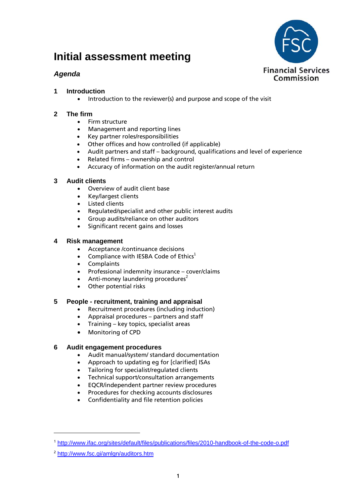# **Initial assessment meeting**

## *Agenda*



- **1 Introduction**
	- Introduction to the reviewer(s) and purpose and scope of the visit

#### **2 The firm**

- Firm structure
- Management and reporting lines
- Key partner roles/responsibilities
- Other offices and how controlled (if applicable)
- Audit partners and staff background, qualifications and level of experience
- Related firms ownership and control
- Accuracy of information on the audit register/annual return

#### **3 Audit clients**

- Overview of audit client base
- Key/largest clients
- Listed clients
- Regulated/specialist and other public interest audits
- Group audits/reliance on other auditors
- Significant recent gains and losses

#### **4 Risk management**

- Acceptance /continuance decisions
- Compliance with IESBA Code of Ethics<sup>1</sup>
- **Complaints**
- Professional indemnity insurance cover/claims
- Anti-money laundering procedures $2$
- Other potential risks

#### **5 People - recruitment, training and appraisal**

- Recruitment procedures (including induction)
- Appraisal procedures partners and staff
- Training key topics, specialist areas
- Monitoring of CPD

#### **6 Audit engagement procedures**

- Audit manual/system/ standard documentation
- Approach to updating eg for [clarified] ISAs
- Tailoring for specialist/regulated clients
- Technical support/consultation arrangements
- EQCR/independent partner review procedures
- Procedures for checking accounts disclosures
- Confidentiality and file retention policies

l

<sup>1</sup> http://www.ifac.org/sites/default/files/publications/files/2010-handbook-of-the-code-o.pdf

<sup>2</sup> http://www.fsc.gi/amlgn/auditors.htm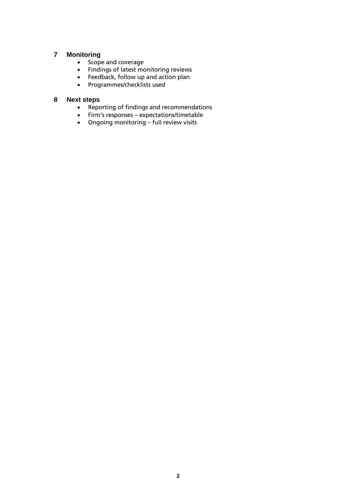#### **7 Monitoring**

- Scope and coverage
- Findings of latest monitoring reviews
- Feedback, follow up and action plan
- Programmes/checklists used

#### **8 Next steps**

- Reporting of findings and recommendations
- Firm's responses expectations/timetable
- Ongoing monitoring full review visits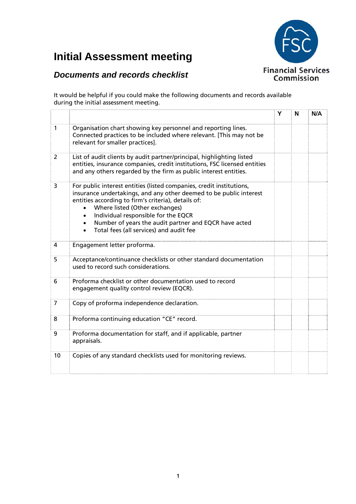# **Financial Services** Commission

# **Initial Assessment meeting**

# *Documents and records checklist*

It would be helpful if you could make the following documents and records available during the initial assessment meeting.

|                |                                                                                                                                                                                                                                                                                                                                                                                                                       | Y | N | N/A |
|----------------|-----------------------------------------------------------------------------------------------------------------------------------------------------------------------------------------------------------------------------------------------------------------------------------------------------------------------------------------------------------------------------------------------------------------------|---|---|-----|
| $\mathbf{1}$   | Organisation chart showing key personnel and reporting lines.<br>Connected practices to be included where relevant. [This may not be<br>relevant for smaller practices].                                                                                                                                                                                                                                              |   |   |     |
| $\overline{2}$ | List of audit clients by audit partner/principal, highlighting listed<br>entities, insurance companies, credit institutions, FSC licensed entities<br>and any others regarded by the firm as public interest entities.                                                                                                                                                                                                |   |   |     |
| 3              | For public interest entities (listed companies, credit institutions,<br>insurance undertakings, and any other deemed to be public interest<br>entities according to firm's criteria), details of:<br>Where listed (Other exchanges)<br>$\bullet$<br>Individual responsible for the EQCR<br>$\bullet$<br>Number of years the audit partner and EQCR have acted<br>$\bullet$<br>Total fees (all services) and audit fee |   |   |     |
| 4              | Engagement letter proforma.                                                                                                                                                                                                                                                                                                                                                                                           |   |   |     |
| 5              | Acceptance/continuance checklists or other standard documentation<br>used to record such considerations.                                                                                                                                                                                                                                                                                                              |   |   |     |
| 6              | Proforma checklist or other documentation used to record<br>engagement quality control review (EQCR).                                                                                                                                                                                                                                                                                                                 |   |   |     |
| $\overline{7}$ | Copy of proforma independence declaration.                                                                                                                                                                                                                                                                                                                                                                            |   |   |     |
| 8              | Proforma continuing education "CE" record.                                                                                                                                                                                                                                                                                                                                                                            |   |   |     |
| 9              | Proforma documentation for staff, and if applicable, partner<br>appraisals.                                                                                                                                                                                                                                                                                                                                           |   |   |     |
| 10             | Copies of any standard checklists used for monitoring reviews.                                                                                                                                                                                                                                                                                                                                                        |   |   |     |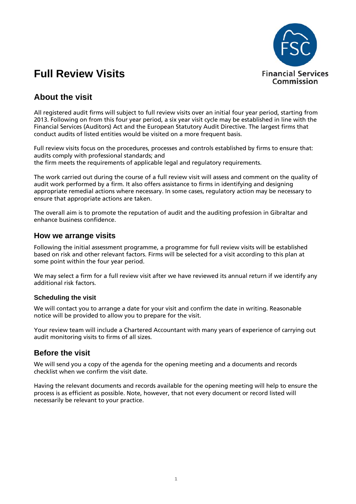

# **Full Review Visits**

# **About the visit**

All registered audit firms will subject to full review visits over an initial four year period, starting from 2013. Following on from this four year period, a six year visit cycle may be established in line with the Financial Services (Auditors) Act and the European Statutory Audit Directive. The largest firms that conduct audits of listed entities would be visited on a more frequent basis.

Full review visits focus on the procedures, processes and controls established by firms to ensure that: audits comply with professional standards; and the firm meets the requirements of applicable legal and regulatory requirements.

The work carried out during the course of a full review visit will assess and comment on the quality of audit work performed by a firm. It also offers assistance to firms in identifying and designing appropriate remedial actions where necessary. In some cases, regulatory action may be necessary to ensure that appropriate actions are taken.

The overall aim is to promote the reputation of audit and the auditing profession in Gibraltar and enhance business confidence.

#### **How we arrange visits**

Following the initial assessment programme, a programme for full review visits will be established based on risk and other relevant factors. Firms will be selected for a visit according to this plan at some point within the four year period.

We may select a firm for a full review visit after we have reviewed its annual return if we identify any additional risk factors.

#### **Scheduling the visit**

We will contact you to arrange a date for your visit and confirm the date in writing. Reasonable notice will be provided to allow you to prepare for the visit.

Your review team will include a Chartered Accountant with many years of experience of carrying out audit monitoring visits to firms of all sizes.

#### **Before the visit**

We will send you a copy of the agenda for the opening meeting and a documents and records checklist when we confirm the visit date.

Having the relevant documents and records available for the opening meeting will help to ensure the process is as efficient as possible. Note, however, that not every document or record listed will necessarily be relevant to your practice.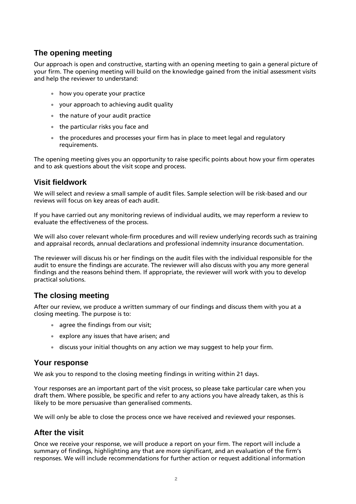## **The opening meeting**

Our approach is open and constructive, starting with an opening meeting to gain a general picture of your firm. The opening meeting will build on the knowledge gained from the initial assessment visits and help the reviewer to understand:

- how you operate your practice
- vour approach to achieving audit quality
- the nature of your audit practice
- the particular risks you face and
- the procedures and processes your firm has in place to meet legal and regulatory requirements.

The opening meeting gives you an opportunity to raise specific points about how your firm operates and to ask questions about the visit scope and process.

## **Visit fieldwork**

We will select and review a small sample of audit files. Sample selection will be risk-based and our reviews will focus on key areas of each audit.

If you have carried out any monitoring reviews of individual audits, we may reperform a review to evaluate the effectiveness of the process.

We will also cover relevant whole-firm procedures and will review underlying records such as training and appraisal records, annual declarations and professional indemnity insurance documentation.

The reviewer will discuss his or her findings on the audit files with the individual responsible for the audit to ensure the findings are accurate. The reviewer will also discuss with you any more general findings and the reasons behind them. If appropriate, the reviewer will work with you to develop practical solutions.

## **The closing meeting**

After our review, we produce a written summary of our findings and discuss them with you at a closing meeting. The purpose is to:

- agree the findings from our visit;
- explore any issues that have arisen; and
- discuss your initial thoughts on any action we may suggest to help your firm.

## **Your response**

We ask you to respond to the closing meeting findings in writing within 21 days.

Your responses are an important part of the visit process, so please take particular care when you draft them. Where possible, be specific and refer to any actions you have already taken, as this is likely to be more persuasive than generalised comments.

We will only be able to close the process once we have received and reviewed your responses.

## **After the visit**

Once we receive your response, we will produce a report on your firm. The report will include a summary of findings, highlighting any that are more significant, and an evaluation of the firm's responses. We will include recommendations for further action or request additional information